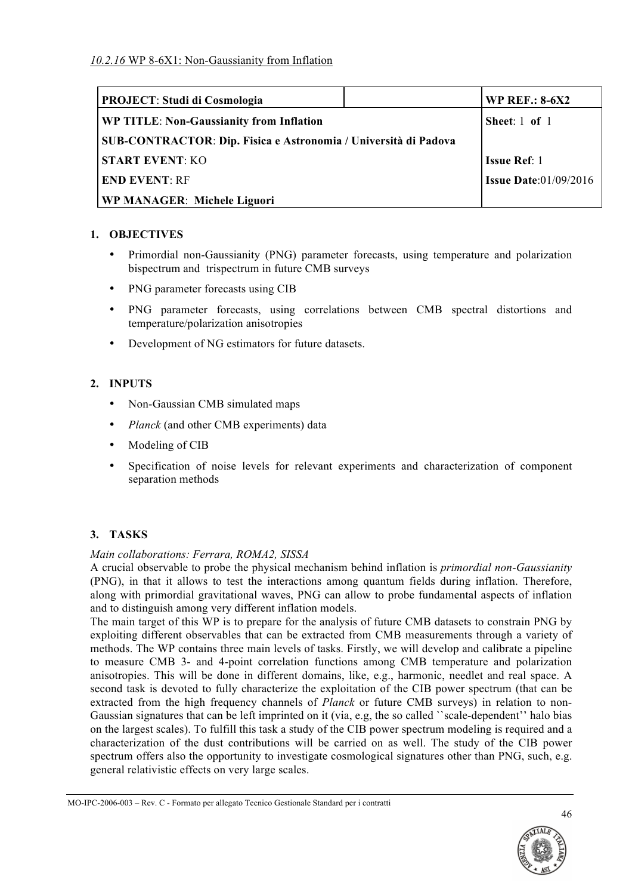| <b>PROJECT: Studi di Cosmologia</b>                                    | <b>WP REF.: 8-6X2</b>           |
|------------------------------------------------------------------------|---------------------------------|
| WP TITLE: Non-Gaussianity from Inflation                               | Sheet: $1$ of $1$               |
| <b>SUB-CONTRACTOR: Dip. Fisica e Astronomia / Università di Padova</b> |                                 |
| <b>START EVENT: KO</b>                                                 | <b>Issue Ref:</b> 1             |
| <b>END EVENT: RF</b>                                                   | <b>Issue Date:</b> $01/09/2016$ |
| <b>WP MANAGER: Michele Liguori</b>                                     |                                 |

# **1. OBJECTIVES**

- Primordial non-Gaussianity (PNG) parameter forecasts, using temperature and polarization bispectrum and trispectrum in future CMB surveys
- PNG parameter forecasts using CIB
- PNG parameter forecasts, using correlations between CMB spectral distortions and temperature/polarization anisotropies
- Development of NG estimators for future datasets.

# **2. INPUTS**

- Non-Gaussian CMB simulated maps
- *Planck* (and other CMB experiments) data
- Modeling of CIB
- Specification of noise levels for relevant experiments and characterization of component separation methods

# **3. TASKS**

### *Main collaborations: Ferrara, ROMA2, SISSA*

A crucial observable to probe the physical mechanism behind inflation is *primordial non-Gaussianity*  (PNG), in that it allows to test the interactions among quantum fields during inflation. Therefore, along with primordial gravitational waves, PNG can allow to probe fundamental aspects of inflation and to distinguish among very different inflation models.

The main target of this WP is to prepare for the analysis of future CMB datasets to constrain PNG by exploiting different observables that can be extracted from CMB measurements through a variety of methods. The WP contains three main levels of tasks. Firstly, we will develop and calibrate a pipeline to measure CMB 3- and 4-point correlation functions among CMB temperature and polarization anisotropies. This will be done in different domains, like, e.g., harmonic, needlet and real space. A second task is devoted to fully characterize the exploitation of the CIB power spectrum (that can be extracted from the high frequency channels of *Planck* or future CMB surveys) in relation to non-Gaussian signatures that can be left imprinted on it (via, e.g, the so called ``scale-dependent'' halo bias on the largest scales). To fulfill this task a study of the CIB power spectrum modeling is required and a characterization of the dust contributions will be carried on as well. The study of the CIB power spectrum offers also the opportunity to investigate cosmological signatures other than PNG, such, e.g. general relativistic effects on very large scales.

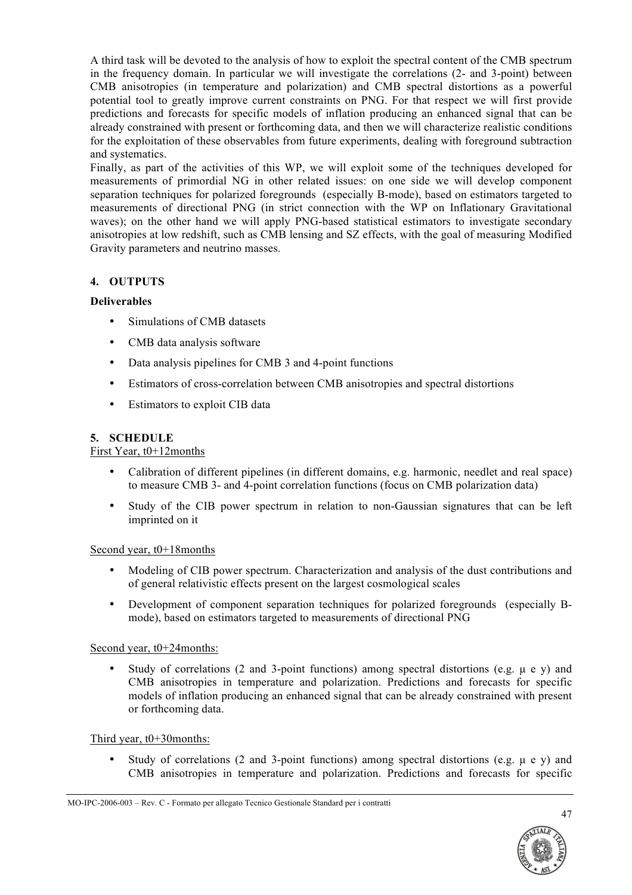A third task will be devoted to the analysis of how to exploit the spectral content of the CMB spectrum in the frequency domain. In particular we will investigate the correlations (2- and 3-point) between CMB anisotropies (in temperature and polarization) and CMB spectral distortions as a powerful potential tool to greatly improve current constraints on PNG. For that respect we will first provide predictions and forecasts for specific models of inflation producing an enhanced signal that can be already constrained with present or forthcoming data, and then we will characterize realistic conditions for the exploitation of these observables from future experiments, dealing with foreground subtraction and systematics.

Finally, as part of the activities of this WP, we will exploit some of the techniques developed for measurements of primordial NG in other related issues: on one side we will develop component separation techniques for polarized foregrounds (especially B-mode), based on estimators targeted to measurements of directional PNG (in strict connection with the WP on Inflationary Gravitational waves); on the other hand we will apply PNG-based statistical estimators to investigate secondary anisotropies at low redshift, such as CMB lensing and SZ effects, with the goal of measuring Modified Gravity parameters and neutrino masses.

# **4. OUTPUTS**

# **Deliverables**

- Simulations of CMB datasets
- CMB data analysis software
- Data analysis pipelines for CMB 3 and 4-point functions
- Estimators of cross-correlation between CMB anisotropies and spectral distortions
- Estimators to exploit CIB data

### **5. SCHEDULE**

### First Year, t0+12months

- Calibration of different pipelines (in different domains, e.g. harmonic, needlet and real space) to measure CMB 3- and 4-point correlation functions (focus on CMB polarization data)
- Study of the CIB power spectrum in relation to non-Gaussian signatures that can be left imprinted on it

### Second year, t0+18months

- Modeling of CIB power spectrum. Characterization and analysis of the dust contributions and of general relativistic effects present on the largest cosmological scales
- Development of component separation techniques for polarized foregrounds (especially Bmode), based on estimators targeted to measurements of directional PNG

### Second year, t0+24months:

Study of correlations (2 and 3-point functions) among spectral distortions (e.g.  $\mu$  e y) and CMB anisotropies in temperature and polarization. Predictions and forecasts for specific models of inflation producing an enhanced signal that can be already constrained with present or forthcoming data.

### Third year, t0+30months:

Study of correlations (2 and 3-point functions) among spectral distortions (e.g.  $\mu$  e y) and CMB anisotropies in temperature and polarization. Predictions and forecasts for specific